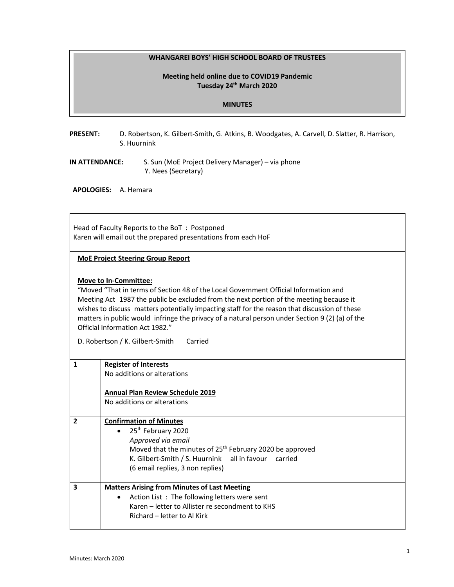# **WHANGAREI BOYS' HIGH SCHOOL BOARD OF TRUSTEES**

# **Meeting held online due to COVID19 Pandemic Tuesday 24th March 2020**

### **MINUTES**

PRESENT: D. Robertson, K. Gilbert-Smith, G. Atkins, B. Woodgates, A. Carvell, D. Slatter, R. Harrison, S. Huurnink

**IN ATTENDANCE:** S. Sun (MoE Project Delivery Manager) – via phone Y. Nees (Secretary)

**APOLOGIES:** A. Hemara

Head of Faculty Reports to the BoT : Postponed Karen will email out the prepared presentations from each HoF

#### **MoE Project Steering Group Report**

### **Move to In‐Committee:**

"Moved "That in terms of Section 48 of the Local Government Official Information and Meeting Act 1987 the public be excluded from the next portion of the meeting because it wishes to discuss matters potentially impacting staff for the reason that discussion of these matters in public would infringe the privacy of a natural person under Section 9 (2) (a) of the Official Information Act 1982."

D. Robertson / K. Gilbert‐Smith Carried

| 1<br><b>Register of Interests</b> |                                                                      |  |  |  |  |
|-----------------------------------|----------------------------------------------------------------------|--|--|--|--|
|                                   | No additions or alterations                                          |  |  |  |  |
|                                   |                                                                      |  |  |  |  |
|                                   | <b>Annual Plan Review Schedule 2019</b>                              |  |  |  |  |
| No additions or alterations       |                                                                      |  |  |  |  |
|                                   |                                                                      |  |  |  |  |
| 2                                 | <b>Confirmation of Minutes</b>                                       |  |  |  |  |
|                                   | $\bullet$ 25 <sup>th</sup> February 2020                             |  |  |  |  |
|                                   | Approved via email                                                   |  |  |  |  |
|                                   | Moved that the minutes of 25 <sup>th</sup> February 2020 be approved |  |  |  |  |
|                                   | K. Gilbert-Smith / S. Huurnink all in favour carried                 |  |  |  |  |
|                                   | (6 email replies, 3 non replies)                                     |  |  |  |  |
|                                   |                                                                      |  |  |  |  |
| 3                                 | <b>Matters Arising from Minutes of Last Meeting</b>                  |  |  |  |  |
|                                   | Action List: The following letters were sent<br>$\bullet$            |  |  |  |  |
|                                   | Karen – letter to Allister re secondment to KHS                      |  |  |  |  |
|                                   | Richard - letter to Al Kirk                                          |  |  |  |  |
|                                   |                                                                      |  |  |  |  |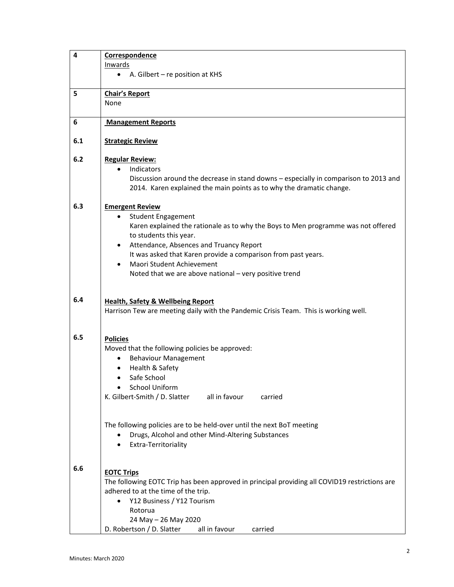|     | Correspondence                                                                                |
|-----|-----------------------------------------------------------------------------------------------|
|     | Inwards                                                                                       |
|     | A. Gilbert – re position at KHS<br>$\bullet$                                                  |
|     |                                                                                               |
| 5   | <b>Chair's Report</b>                                                                         |
|     | None                                                                                          |
|     |                                                                                               |
| 6   | <b>Management Reports</b>                                                                     |
|     |                                                                                               |
| 6.1 | <b>Strategic Review</b>                                                                       |
|     |                                                                                               |
| 6.2 | <b>Regular Review:</b>                                                                        |
|     | Indicators                                                                                    |
|     | Discussion around the decrease in stand downs - especially in comparison to 2013 and          |
|     | 2014. Karen explained the main points as to why the dramatic change.                          |
|     |                                                                                               |
| 6.3 | <b>Emergent Review</b>                                                                        |
|     | <b>Student Engagement</b>                                                                     |
|     | Karen explained the rationale as to why the Boys to Men programme was not offered             |
|     | to students this year.                                                                        |
|     | Attendance, Absences and Truancy Report                                                       |
|     | It was asked that Karen provide a comparison from past years.<br>Maori Student Achievement    |
|     |                                                                                               |
|     | Noted that we are above national - very positive trend                                        |
|     |                                                                                               |
| 6.4 | <b>Health, Safety &amp; Wellbeing Report</b>                                                  |
|     |                                                                                               |
|     |                                                                                               |
|     | Harrison Tew are meeting daily with the Pandemic Crisis Team. This is working well.           |
|     |                                                                                               |
| 6.5 | <b>Policies</b>                                                                               |
|     | Moved that the following policies be approved:                                                |
|     | <b>Behaviour Management</b>                                                                   |
|     |                                                                                               |
|     | Health & Safety<br>Safe School                                                                |
|     | <b>School Uniform</b>                                                                         |
|     | K. Gilbert-Smith / D. Slatter<br>all in favour<br>carried                                     |
|     |                                                                                               |
|     |                                                                                               |
|     | The following policies are to be held-over until the next BoT meeting                         |
|     | Drugs, Alcohol and other Mind-Altering Substances                                             |
|     | Extra-Territoriality                                                                          |
|     |                                                                                               |
|     |                                                                                               |
| 6.6 | <b>EOTC Trips</b>                                                                             |
|     | The following EOTC Trip has been approved in principal providing all COVID19 restrictions are |
|     | adhered to at the time of the trip.                                                           |
|     | Y12 Business / Y12 Tourism                                                                    |
|     | Rotorua                                                                                       |
|     | 24 May - 26 May 2020<br>D. Robertson / D. Slatter<br>all in favour<br>carried                 |